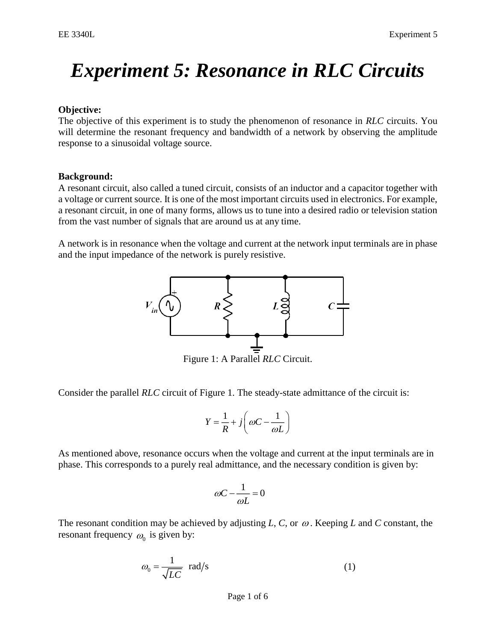# *Experiment 5: Resonance in RLC Circuits*

## **Objective:**

The objective of this experiment is to study the phenomenon of resonance in *RLC* circuits. You will determine the resonant frequency and bandwidth of a network by observing the amplitude response to a sinusoidal voltage source.

#### **Background:**

A resonant circuit, also called a tuned circuit, consists of an inductor and a capacitor together with a voltage or current source. It is one of the most important circuits used in electronics. For example, a resonant circuit, in one of many forms, allows us to tune into a desired radio or television station from the vast number of signals that are around us at any time.

A network is in resonance when the voltage and current at the network input terminals are in phase and the input impedance of the network is purely resistive.



Figure 1: A Parallel *RLC* Circuit.

Consider the parallel *RLC* circuit of Figure 1. The steady-state admittance of the circuit is:

$$
Y = \frac{1}{R} + j \left( \omega C - \frac{1}{\omega L} \right)
$$

As mentioned above, resonance occurs when the voltage and current at the input terminals are in phase. This corresponds to a purely real admittance, and the necessary condition is given by:

$$
\omega C - \frac{1}{\omega L} = 0
$$

The resonant condition may be achieved by adjusting  $L, C$ , or  $\omega$ . Keeping  $L$  and  $C$  constant, the resonant frequency  $\omega_0$  is given by:

$$
\omega_0 = \frac{1}{\sqrt{LC}} \text{ rad/s} \tag{1}
$$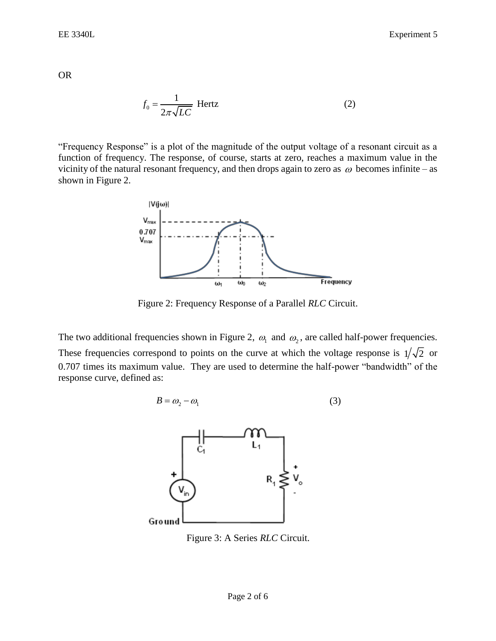OR

$$
f_0 = \frac{1}{2\pi\sqrt{LC}} \text{ Hertz}
$$
 (2)

"Frequency Response" is a plot of the magnitude of the output voltage of a resonant circuit as a function of frequency. The response, of course, starts at zero, reaches a maximum value in the vicinity of the natural resonant frequency, and then drops again to zero as  $\omega$  becomes infinite – as shown in Figure 2.



Figure 2: Frequency Response of a Parallel *RLC* Circuit.

The two additional frequencies shown in Figure 2,  $\omega_1$  and  $\omega_2$ , are called half-power frequencies. These frequencies correspond to points on the curve at which the voltage response is  $1/\sqrt{2}$  or 0.707 times its maximum value. They are used to determine the half-power "bandwidth" of the response curve, defined as:

$$
B = \omega_2 - \omega_1 \tag{3}
$$



[Figure 3: A Series](https://wiki.analog.com/_detail/university/courses/alm1k/circuits1/alm-cir-lab7-fig3.png?id=university%3Acourses%3Aelectronics%3Arlc_resonance) *RLC* Circuit.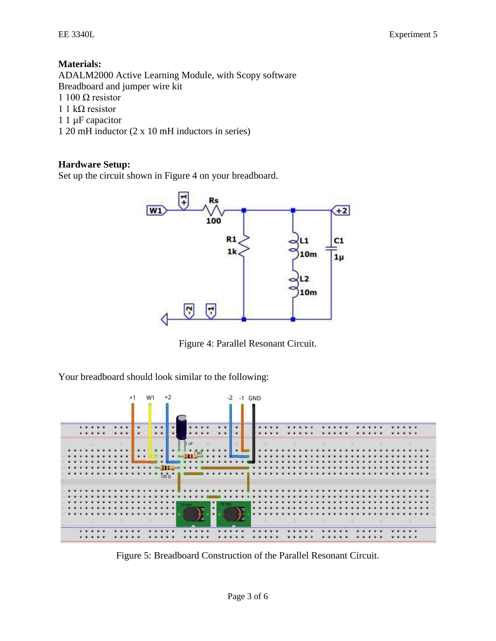## **Materials:**

ADALM2000 Active Learning Module, with Scopy software Breadboard and jumper wire kit 1 100 Ω resistor

- $1 \frac{\lambda}{\Omega}$  resistor
- 1 1 µF capacitor
- 1 20 mH inductor (2 x 10 mH inductors in series)

#### **Hardware Setup:**

Set up the circuit shown in Figure 4 on your breadboard.



Figure 4: Parallel Resonant Circuit.

Your breadboard should look similar to the following:



Figure 5: Breadboard Construction of the Parallel Resonant Circuit.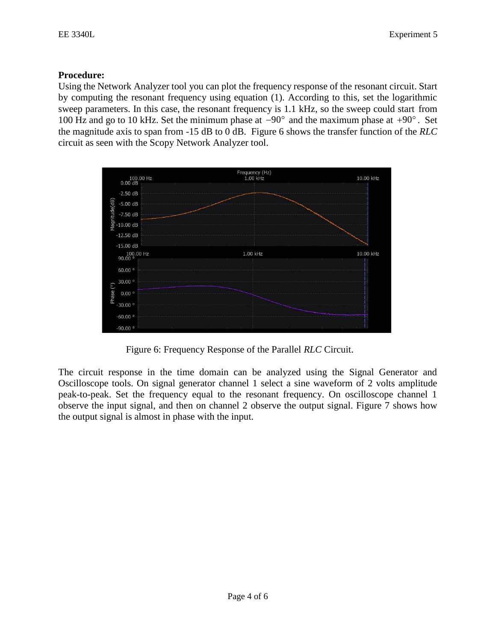## **Procedure:**

Using the Network Analyzer tool you can plot the frequency response of the resonant circuit. Start by computing the resonant frequency using equation (1). According to this, set the logarithmic sweep parameters. In this case, the resonant frequency is 1.1 kHz, so the sweep could start from 100 Hz and go to 10 kHz. Set the minimum phase at  $-90^{\circ}$  and the maximum phase at  $+90^{\circ}$ . Set the magnitude axis to span from -15 dB to 0 dB. Figure 6 shows the transfer function of the *RLC* circuit as seen with the Scopy Network Analyzer tool.



Figure 6: Frequency Response of the Parallel *RLC* Circuit.

The circuit response in the time domain can be analyzed using the Signal Generator and Oscilloscope tools. On signal generator channel 1 select a sine waveform of 2 volts amplitude peak-to-peak. Set the frequency equal to the resonant frequency. On oscilloscope channel 1 observe the input signal, and then on channel 2 observe the output signal. Figure 7 shows how the output signal is almost in phase with the input.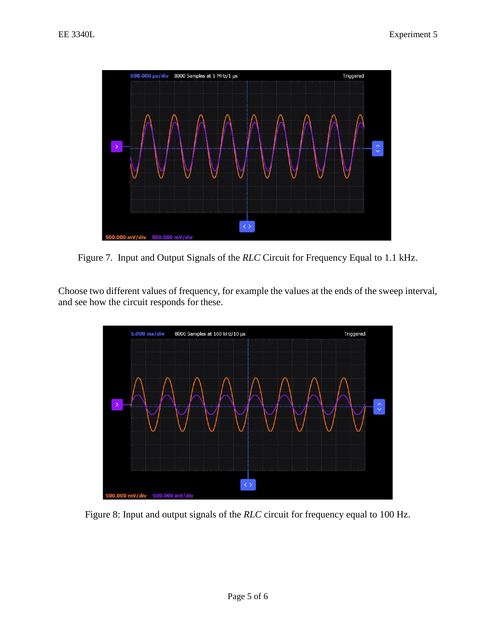

Figure 7. Input and Output Signals of the *RLC* Circuit for Frequency Equal to 1.1 kHz.

Choose two different values of frequency, for example the values at the ends of the sweep interval, and see how the circuit responds for these.



Figure 8: Input and output signals of the *RLC* circuit for frequency equal to 100 Hz.